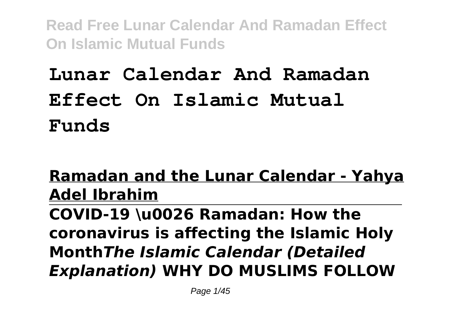# **Lunar Calendar And Ramadan Effect On Islamic Mutual Funds**

### **Ramadan and the Lunar Calendar - Yahya Adel Ibrahim COVID-19 \u0026 Ramadan: How the coronavirus is affecting the Islamic Holy Month***The Islamic Calendar (Detailed Explanation)* **WHY DO MUSLIMS FOLLOW**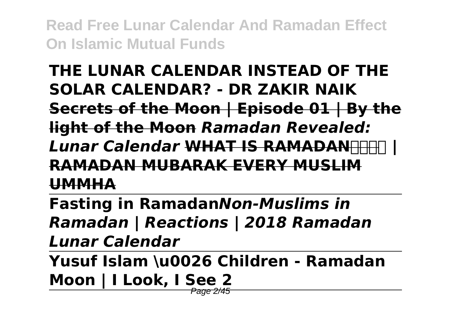### **THE LUNAR CALENDAR INSTEAD OF THE SOLAR CALENDAR? - DR ZAKIR NAIK Secrets of the Moon | Episode 01 | By the light of the Moon** *Ramadan Revealed: Lunar Calendar* **WHAT IS RAMADANHERT RAMADAN MUBARAK EVERY MUSLIM UMMHA**

**Fasting in Ramadan***Non-Muslims in Ramadan | Reactions | 2018 Ramadan Lunar Calendar*

**Yusuf Islam \u0026 Children - Ramadan Moon | I Look, I See 2** Page 2/45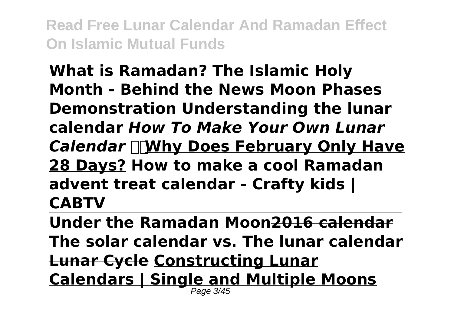**What is Ramadan? The Islamic Holy Month - Behind the News Moon Phases Demonstration Understanding the lunar calendar** *How To Make Your Own Lunar Calendar* **Why Does February Only Have 28 Days? How to make a cool Ramadan advent treat calendar - Crafty kids | CABTV**

**Under the Ramadan Moon2016 calendar The solar calendar vs. The lunar calendar Lunar Cycle Constructing Lunar Calendars | Single and Multiple Moons** Page 3/45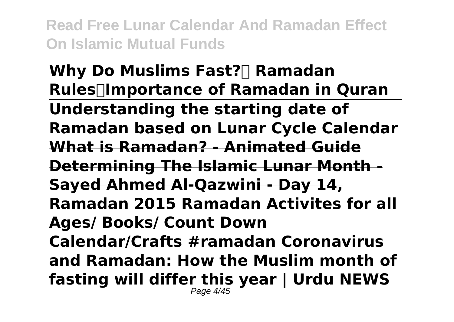**Why Do Muslims Fast?**∏ Ramadan **Rules┇Importance of Ramadan in Quran Understanding the starting date of Ramadan based on Lunar Cycle Calendar What is Ramadan? - Animated Guide Determining The Islamic Lunar Month - Sayed Ahmed Al-Qazwini - Day 14, Ramadan 2015 Ramadan Activites for all Ages/ Books/ Count Down Calendar/Crafts #ramadan Coronavirus and Ramadan: How the Muslim month of fasting will differ this year | Urdu NEWS** Page 4/45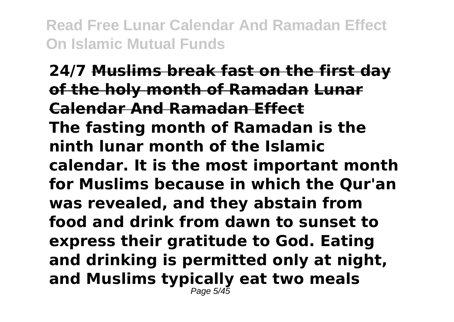**24/7 Muslims break fast on the first day of the holy month of Ramadan Lunar Calendar And Ramadan Effect The fasting month of Ramadan is the ninth lunar month of the Islamic calendar. It is the most important month for Muslims because in which the Qur'an was revealed, and they abstain from food and drink from dawn to sunset to express their gratitude to God. Eating and drinking is permitted only at night, and Muslims typically eat two meals** Page 5/45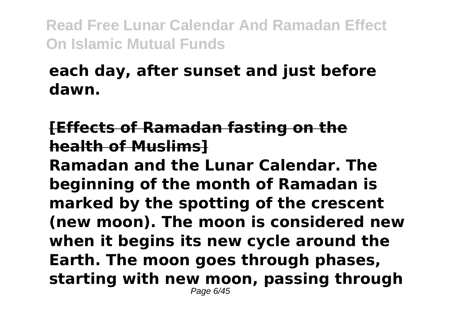### **each day, after sunset and just before dawn.**

### **[Effects of Ramadan fasting on the health of Muslims]**

**Ramadan and the Lunar Calendar. The beginning of the month of Ramadan is marked by the spotting of the crescent (new moon). The moon is considered new when it begins its new cycle around the Earth. The moon goes through phases, starting with new moon, passing through** Page 6/45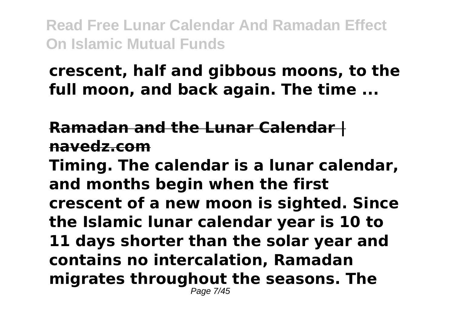### **crescent, half and gibbous moons, to the full moon, and back again. The time ...**

### **Ramadan and the Lunar Calendar | navedz.com**

**Timing. The calendar is a lunar calendar, and months begin when the first crescent of a new moon is sighted. Since the Islamic lunar calendar year is 10 to 11 days shorter than the solar year and contains no intercalation, Ramadan migrates throughout the seasons. The** Page 7/45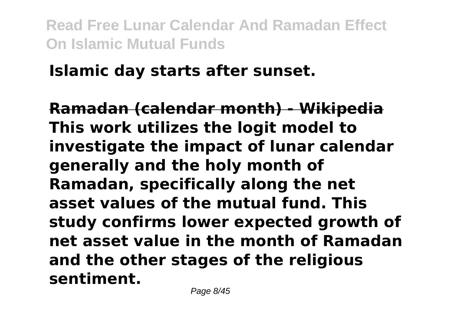# **Islamic day starts after sunset.**

**Ramadan (calendar month) - Wikipedia This work utilizes the logit model to investigate the impact of lunar calendar generally and the holy month of Ramadan, specifically along the net asset values of the mutual fund. This study confirms lower expected growth of net asset value in the month of Ramadan and the other stages of the religious sentiment.**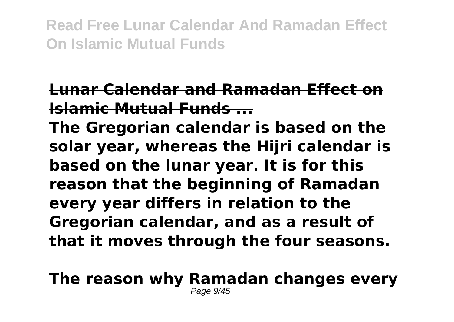### **Lunar Calendar and Ramadan Effect on Islamic Mutual Funds ...**

**The Gregorian calendar is based on the solar year, whereas the Hijri calendar is based on the lunar year. It is for this reason that the beginning of Ramadan every year differs in relation to the Gregorian calendar, and as a result of that it moves through the four seasons.**

**The reason why Ramadan changes every** Page 9/45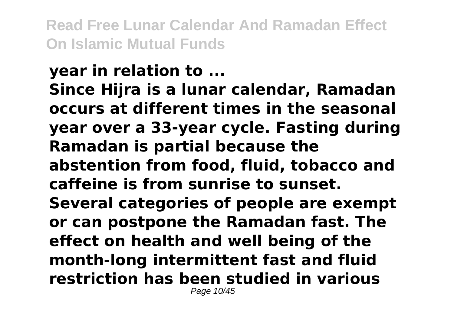#### **year in relation to ... Since Hijra is a lunar calendar, Ramadan occurs at different times in the seasonal year over a 33-year cycle. Fasting during Ramadan is partial because the abstention from food, fluid, tobacco and caffeine is from sunrise to sunset. Several categories of people are exempt or can postpone the Ramadan fast. The effect on health and well being of the month-long intermittent fast and fluid restriction has been studied in various** Page 10/45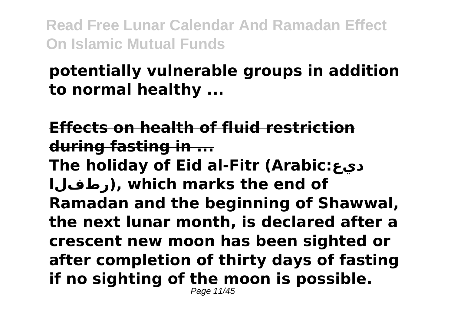### **potentially vulnerable groups in addition to normal healthy ...**

**Effects on health of fluid restriction during fasting in ... The holiday of Eid al-Fitr (Arabic:ديع رطفلا(, which marks the end of Ramadan and the beginning of Shawwal, the next lunar month, is declared after a crescent new moon has been sighted or after completion of thirty days of fasting if no sighting of the moon is possible.** Page 11/45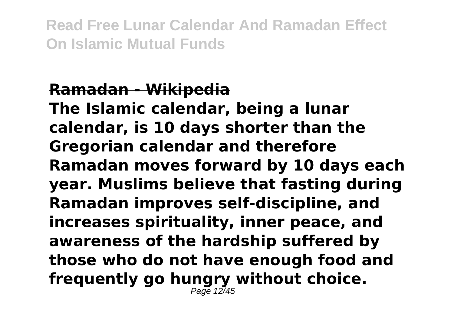#### **Ramadan - Wikipedia**

**The Islamic calendar, being a lunar calendar, is 10 days shorter than the Gregorian calendar and therefore Ramadan moves forward by 10 days each year. Muslims believe that fasting during Ramadan improves self-discipline, and increases spirituality, inner peace, and awareness of the hardship suffered by those who do not have enough food and frequently go hungry without choice.** Page 12/45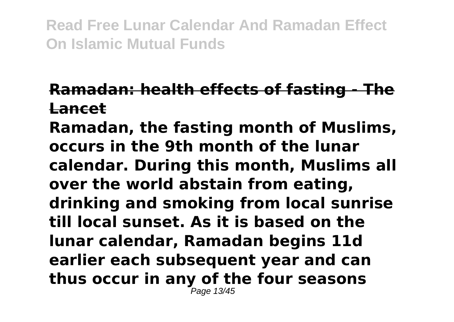### **Ramadan: health effects of fasting - The Lancet**

**Ramadan, the fasting month of Muslims, occurs in the 9th month of the lunar calendar. During this month, Muslims all over the world abstain from eating, drinking and smoking from local sunrise till local sunset. As it is based on the lunar calendar, Ramadan begins 11d earlier each subsequent year and can thus occur in any of the four seasons** Page 13/45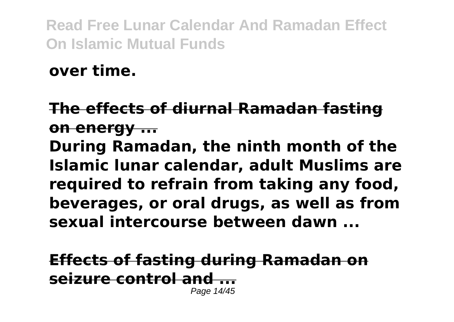**over time.**

### **The effects of diurnal Ramadan fasting on energy ... During Ramadan, the ninth month of the Islamic lunar calendar, adult Muslims are required to refrain from taking any food, beverages, or oral drugs, as well as from sexual intercourse between dawn ...**

**Effects of fasting during Ramadan on** seizure control and Page 14/45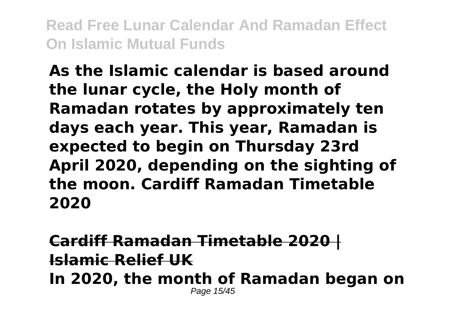**As the Islamic calendar is based around the lunar cycle, the Holy month of Ramadan rotates by approximately ten days each year. This year, Ramadan is expected to begin on Thursday 23rd April 2020, depending on the sighting of the moon. Cardiff Ramadan Timetable 2020**

**Cardiff Ramadan Timetable 2020 | Islamic Relief UK**

**In 2020, the month of Ramadan began on** Page 15/45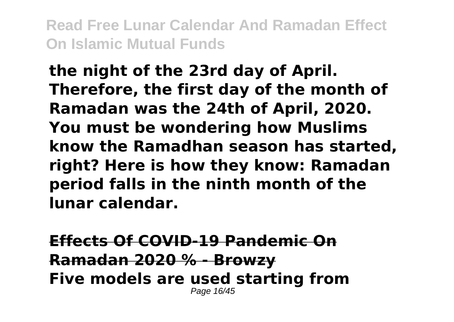**the night of the 23rd day of April. Therefore, the first day of the month of Ramadan was the 24th of April, 2020. You must be wondering how Muslims know the Ramadhan season has started, right? Here is how they know: Ramadan period falls in the ninth month of the lunar calendar.**

**Effects Of COVID-19 Pandemic On Ramadan 2020 % - Browzy Five models are used starting from** Page 16/45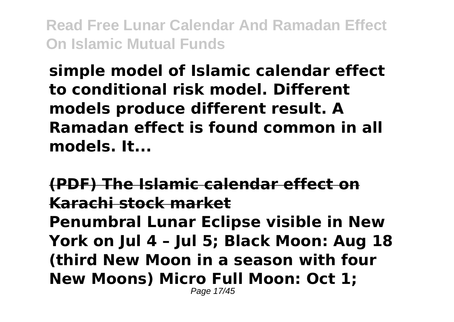**simple model of Islamic calendar effect to conditional risk model. Different models produce different result. A Ramadan effect is found common in all models. It...**

**(PDF) The Islamic calendar effect on Karachi stock market Penumbral Lunar Eclipse visible in New York on Jul 4 – Jul 5; Black Moon: Aug 18 (third New Moon in a season with four New Moons) Micro Full Moon: Oct 1;** Page 17/45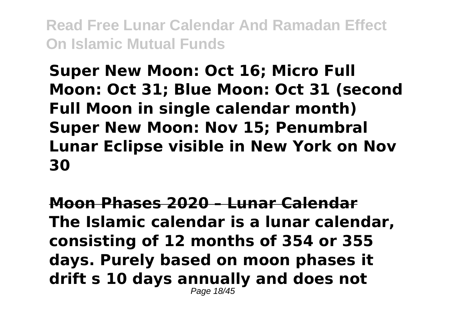**Super New Moon: Oct 16; Micro Full Moon: Oct 31; Blue Moon: Oct 31 (second Full Moon in single calendar month) Super New Moon: Nov 15; Penumbral Lunar Eclipse visible in New York on Nov 30**

**Moon Phases 2020 – Lunar Calendar The Islamic calendar is a lunar calendar, consisting of 12 months of 354 or 355 days. Purely based on moon phases it drift s 10 days annually and does not** Page 18/45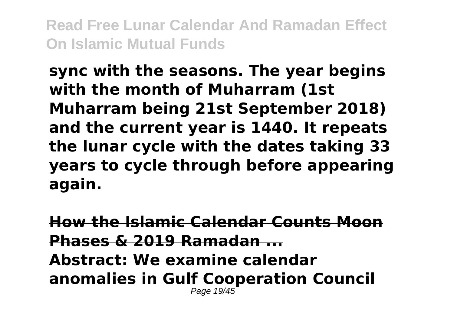**sync with the seasons. The year begins with the month of Muharram (1st Muharram being 21st September 2018) and the current year is 1440. It repeats the lunar cycle with the dates taking 33 years to cycle through before appearing again.**

**How the Islamic Calendar Counts Moon Phases & 2019 Ramadan ... Abstract: We examine calendar anomalies in Gulf Cooperation Council** Page 19/45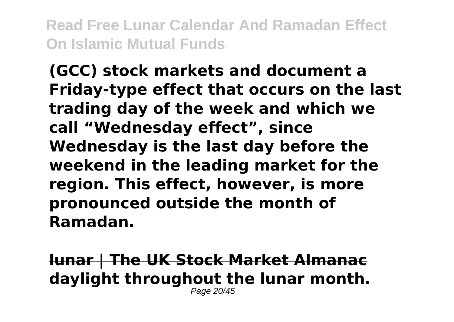**(GCC) stock markets and document a Friday-type effect that occurs on the last trading day of the week and which we call "Wednesday effect", since Wednesday is the last day before the weekend in the leading market for the region. This effect, however, is more pronounced outside the month of Ramadan.**

**lunar | The UK Stock Market Almanac daylight throughout the lunar month.** Page 20/45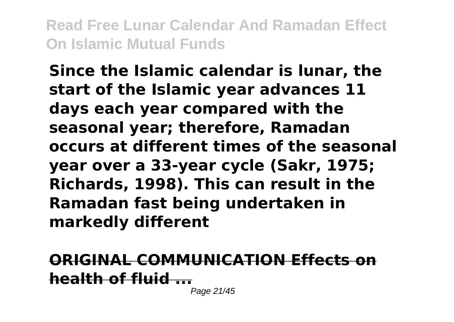**Since the Islamic calendar is lunar, the start of the Islamic year advances 11 days each year compared with the seasonal year; therefore, Ramadan occurs at different times of the seasonal year over a 33-year cycle (Sakr, 1975; Richards, 1998). This can result in the Ramadan fast being undertaken in markedly different**

**ORIGINAL COMMUNICATION Effects on health of fluid ...**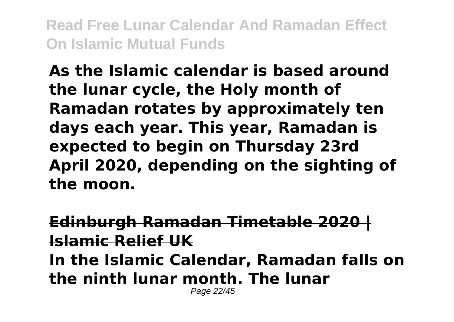**As the Islamic calendar is based around the lunar cycle, the Holy month of Ramadan rotates by approximately ten days each year. This year, Ramadan is expected to begin on Thursday 23rd April 2020, depending on the sighting of the moon.**

**Edinburgh Ramadan Timetable 2020 | Islamic Relief UK In the Islamic Calendar, Ramadan falls on the ninth lunar month. The lunar** Page 22/45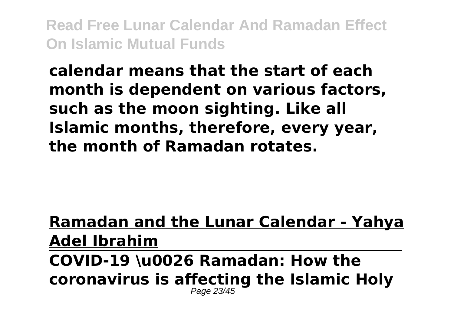### **calendar means that the start of each month is dependent on various factors, such as the moon sighting. Like all Islamic months, therefore, every year, the month of Ramadan rotates.**

#### **Ramadan and the Lunar Calendar - Yahya Adel Ibrahim COVID-19 \u0026 Ramadan: How the coronavirus is affecting the Islamic Holy** Page 23/45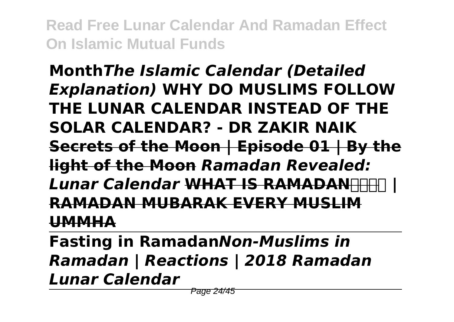### **Month***The Islamic Calendar (Detailed Explanation)* **WHY DO MUSLIMS FOLLOW THE LUNAR CALENDAR INSTEAD OF THE SOLAR CALENDAR? - DR ZAKIR NAIK Secrets of the Moon | Episode 01 | By the light of the Moon** *Ramadan Revealed:* **Lunar Calendar WHAT IS RAMADANHH RAMADAN MUBARAK EVERY MUSLIM UMMHA**

**Fasting in Ramadan***Non-Muslims in Ramadan | Reactions | 2018 Ramadan Lunar Calendar*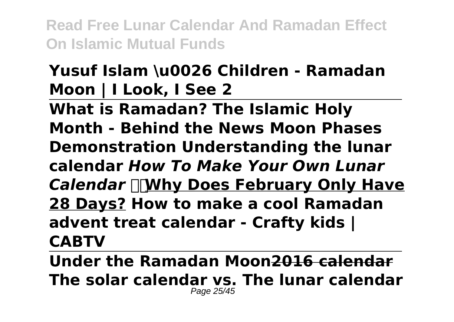## **Yusuf Islam \u0026 Children - Ramadan Moon | I Look, I See 2**

**What is Ramadan? The Islamic Holy Month - Behind the News Moon Phases Demonstration Understanding the lunar calendar** *How To Make Your Own Lunar Calendar* **Why Does February Only Have 28 Days? How to make a cool Ramadan advent treat calendar - Crafty kids | CABTV**

**Under the Ramadan Moon2016 calendar The solar calendar vs. The lunar calendar** Page 25/45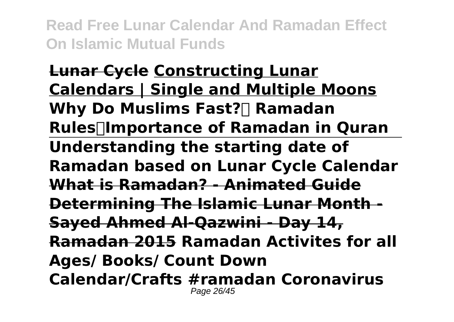**Lunar Cycle Constructing Lunar Calendars | Single and Multiple Moons Why Do Muslims Fast?**∏ Ramadan **Rules┇Importance of Ramadan in Quran Understanding the starting date of Ramadan based on Lunar Cycle Calendar What is Ramadan? - Animated Guide Determining The Islamic Lunar Month - Sayed Ahmed Al-Qazwini - Day 14, Ramadan 2015 Ramadan Activites for all Ages/ Books/ Count Down Calendar/Crafts #ramadan Coronavirus** Page 26/45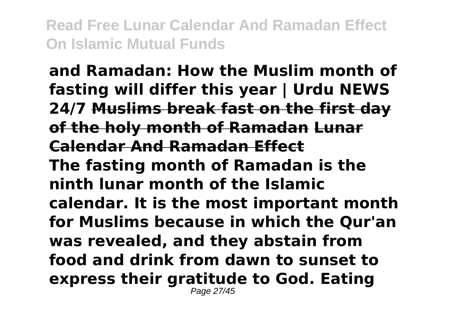**and Ramadan: How the Muslim month of fasting will differ this year | Urdu NEWS 24/7 Muslims break fast on the first day of the holy month of Ramadan Lunar Calendar And Ramadan Effect The fasting month of Ramadan is the ninth lunar month of the Islamic calendar. It is the most important month for Muslims because in which the Qur'an was revealed, and they abstain from food and drink from dawn to sunset to express their gratitude to God. Eating** Page 27/45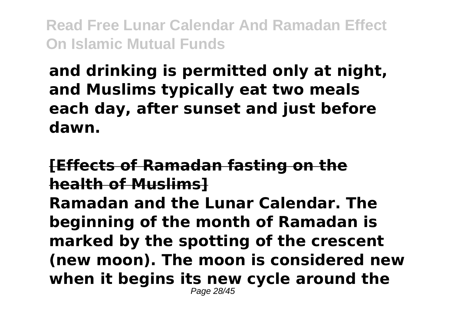### **and drinking is permitted only at night, and Muslims typically eat two meals each day, after sunset and just before dawn.**

#### **[Effects of Ramadan fasting on the health of Muslims] Ramadan and the Lunar Calendar. The beginning of the month of Ramadan is marked by the spotting of the crescent (new moon). The moon is considered new when it begins its new cycle around the** Page 28/45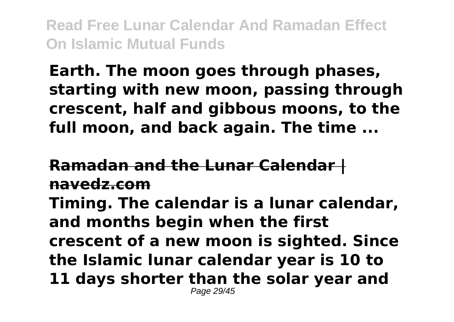### **Earth. The moon goes through phases, starting with new moon, passing through crescent, half and gibbous moons, to the full moon, and back again. The time ...**

**Ramadan and the Lunar Calendar | navedz.com Timing. The calendar is a lunar calendar, and months begin when the first crescent of a new moon is sighted. Since the Islamic lunar calendar year is 10 to 11 days shorter than the solar year and** Page 29/45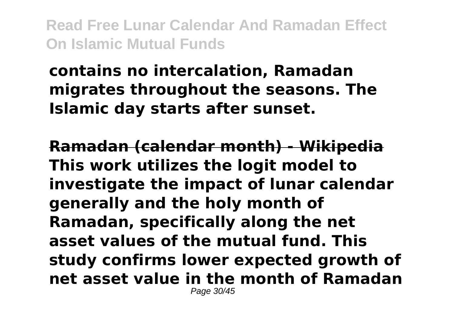**contains no intercalation, Ramadan migrates throughout the seasons. The Islamic day starts after sunset.**

**Ramadan (calendar month) - Wikipedia This work utilizes the logit model to investigate the impact of lunar calendar generally and the holy month of Ramadan, specifically along the net asset values of the mutual fund. This study confirms lower expected growth of net asset value in the month of Ramadan** Page 30/45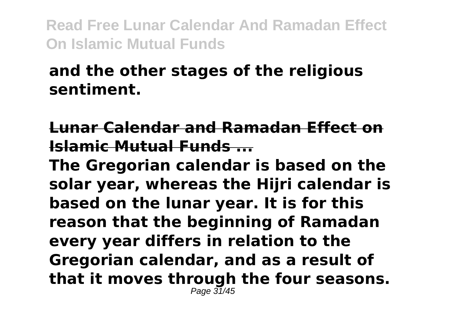### **and the other stages of the religious sentiment.**

### **Lunar Calendar and Ramadan Effect on Islamic Mutual Funds ...**

**The Gregorian calendar is based on the solar year, whereas the Hijri calendar is based on the lunar year. It is for this reason that the beginning of Ramadan every year differs in relation to the Gregorian calendar, and as a result of that it moves through the four seasons.**  $P$ age  $\overline{31}/45$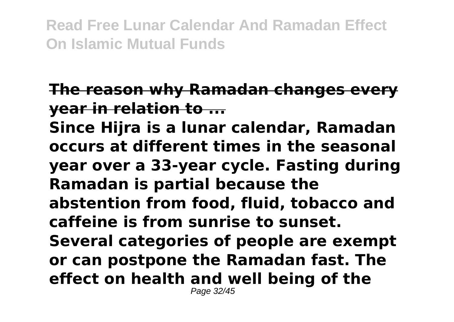### **The reason why Ramadan changes every year in relation to ...**

**Since Hijra is a lunar calendar, Ramadan occurs at different times in the seasonal year over a 33-year cycle. Fasting during Ramadan is partial because the abstention from food, fluid, tobacco and caffeine is from sunrise to sunset. Several categories of people are exempt or can postpone the Ramadan fast. The effect on health and well being of the** Page 32/45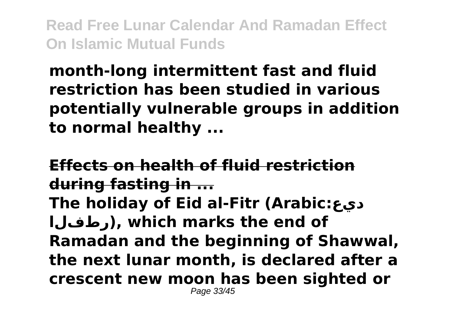**month-long intermittent fast and fluid restriction has been studied in various potentially vulnerable groups in addition to normal healthy ...**

**Effects on health of fluid restriction during fasting in ... The holiday of Eid al-Fitr (Arabic:ديع رطفلا(, which marks the end of Ramadan and the beginning of Shawwal, the next lunar month, is declared after a crescent new moon has been sighted or** Page 33/45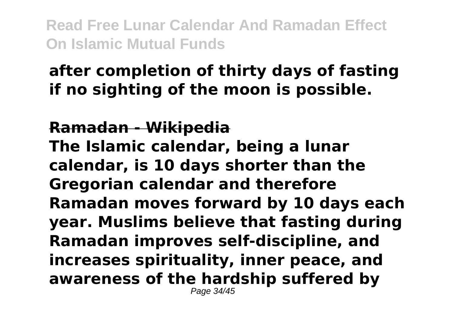### **after completion of thirty days of fasting if no sighting of the moon is possible.**

#### **Ramadan - Wikipedia The Islamic calendar, being a lunar calendar, is 10 days shorter than the Gregorian calendar and therefore Ramadan moves forward by 10 days each year. Muslims believe that fasting during Ramadan improves self-discipline, and increases spirituality, inner peace, and awareness of the hardship suffered by** Page 34/45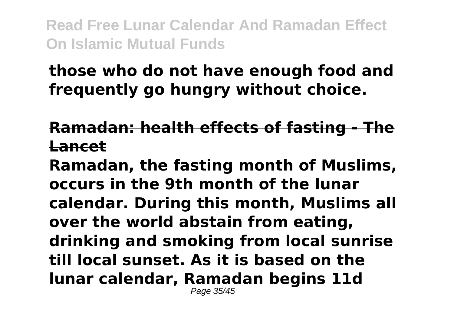### **those who do not have enough food and frequently go hungry without choice.**

#### **Ramadan: health effects of fasting - The Lancet**

**Ramadan, the fasting month of Muslims, occurs in the 9th month of the lunar calendar. During this month, Muslims all over the world abstain from eating, drinking and smoking from local sunrise till local sunset. As it is based on the lunar calendar, Ramadan begins 11d** Page 35/45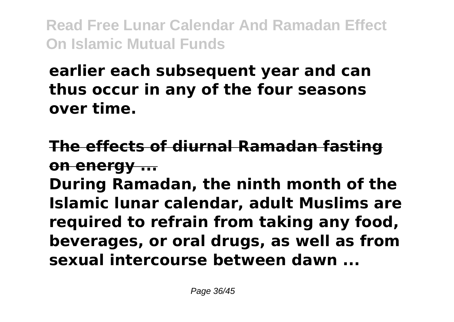### **earlier each subsequent year and can thus occur in any of the four seasons over time.**

### **The effects of diurnal Ramadan fasting on energy ...**

**During Ramadan, the ninth month of the Islamic lunar calendar, adult Muslims are required to refrain from taking any food, beverages, or oral drugs, as well as from sexual intercourse between dawn ...**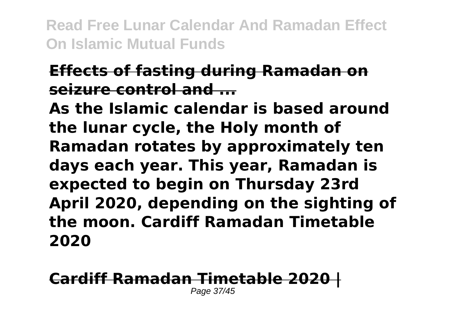### **Effects of fasting during Ramadan on seizure control and ...**

**As the Islamic calendar is based around the lunar cycle, the Holy month of Ramadan rotates by approximately ten days each year. This year, Ramadan is expected to begin on Thursday 23rd April 2020, depending on the sighting of the moon. Cardiff Ramadan Timetable 2020**

### **Cardiff Ramadan Timetable 2020 |**

Page 37/45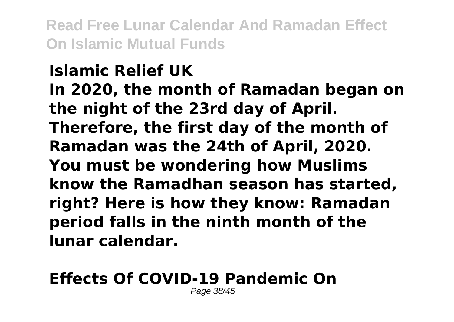### **Islamic Relief UK In 2020, the month of Ramadan began on the night of the 23rd day of April. Therefore, the first day of the month of Ramadan was the 24th of April, 2020. You must be wondering how Muslims know the Ramadhan season has started, right? Here is how they know: Ramadan period falls in the ninth month of the lunar calendar.**

# **Effects Of COVID-19 Pandemic On**

Page 38/45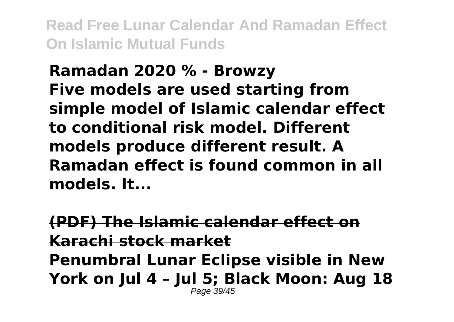### **Ramadan 2020 % - Browzy Five models are used starting from simple model of Islamic calendar effect to conditional risk model. Different models produce different result. A Ramadan effect is found common in all models. It...**

**(PDF) The Islamic calendar effect on Karachi stock market Penumbral Lunar Eclipse visible in New York on Jul 4 – Jul 5; Black Moon: Aug 18** Page 39/45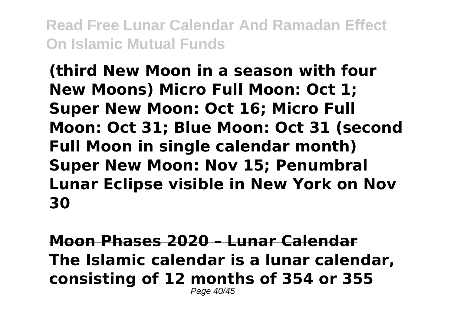**(third New Moon in a season with four New Moons) Micro Full Moon: Oct 1; Super New Moon: Oct 16; Micro Full Moon: Oct 31; Blue Moon: Oct 31 (second Full Moon in single calendar month) Super New Moon: Nov 15; Penumbral Lunar Eclipse visible in New York on Nov 30**

**Moon Phases 2020 – Lunar Calendar The Islamic calendar is a lunar calendar, consisting of 12 months of 354 or 355** Page 40/45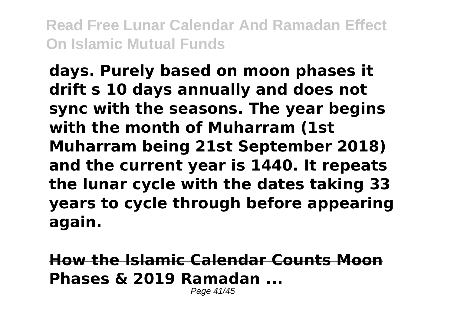**days. Purely based on moon phases it drift s 10 days annually and does not sync with the seasons. The year begins with the month of Muharram (1st Muharram being 21st September 2018) and the current year is 1440. It repeats the lunar cycle with the dates taking 33 years to cycle through before appearing again.**

**How the Islamic Calendar Counts Moon Phases & 2019 Ramadan ...** Page 41/45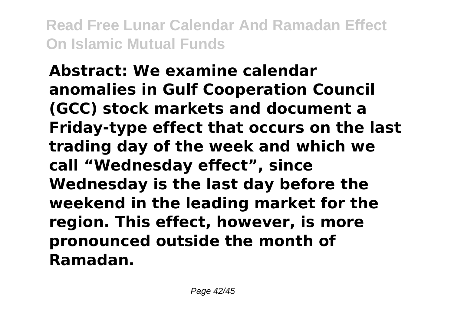**Abstract: We examine calendar anomalies in Gulf Cooperation Council (GCC) stock markets and document a Friday-type effect that occurs on the last trading day of the week and which we call "Wednesday effect", since Wednesday is the last day before the weekend in the leading market for the region. This effect, however, is more pronounced outside the month of Ramadan.**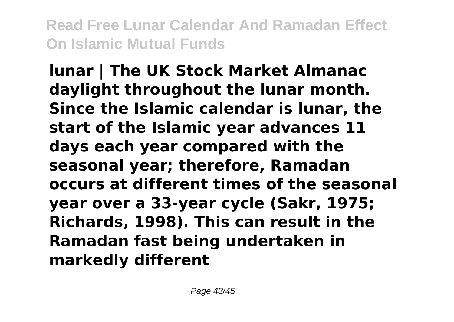**lunar | The UK Stock Market Almanac daylight throughout the lunar month. Since the Islamic calendar is lunar, the start of the Islamic year advances 11 days each year compared with the seasonal year; therefore, Ramadan occurs at different times of the seasonal year over a 33-year cycle (Sakr, 1975; Richards, 1998). This can result in the Ramadan fast being undertaken in markedly different**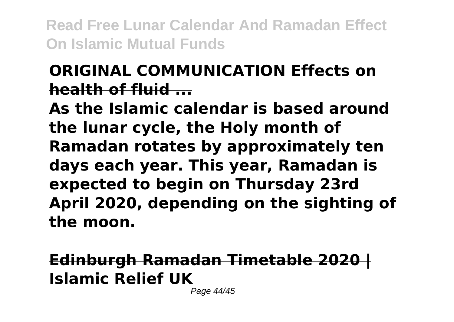### **ORIGINAL COMMUNICATION Effects on health of fluid ...**

**As the Islamic calendar is based around the lunar cycle, the Holy month of Ramadan rotates by approximately ten days each year. This year, Ramadan is expected to begin on Thursday 23rd April 2020, depending on the sighting of the moon.**

**Edinburgh Ramadan Timetable 2020 | Islamic Relief UK**

Page 44/45